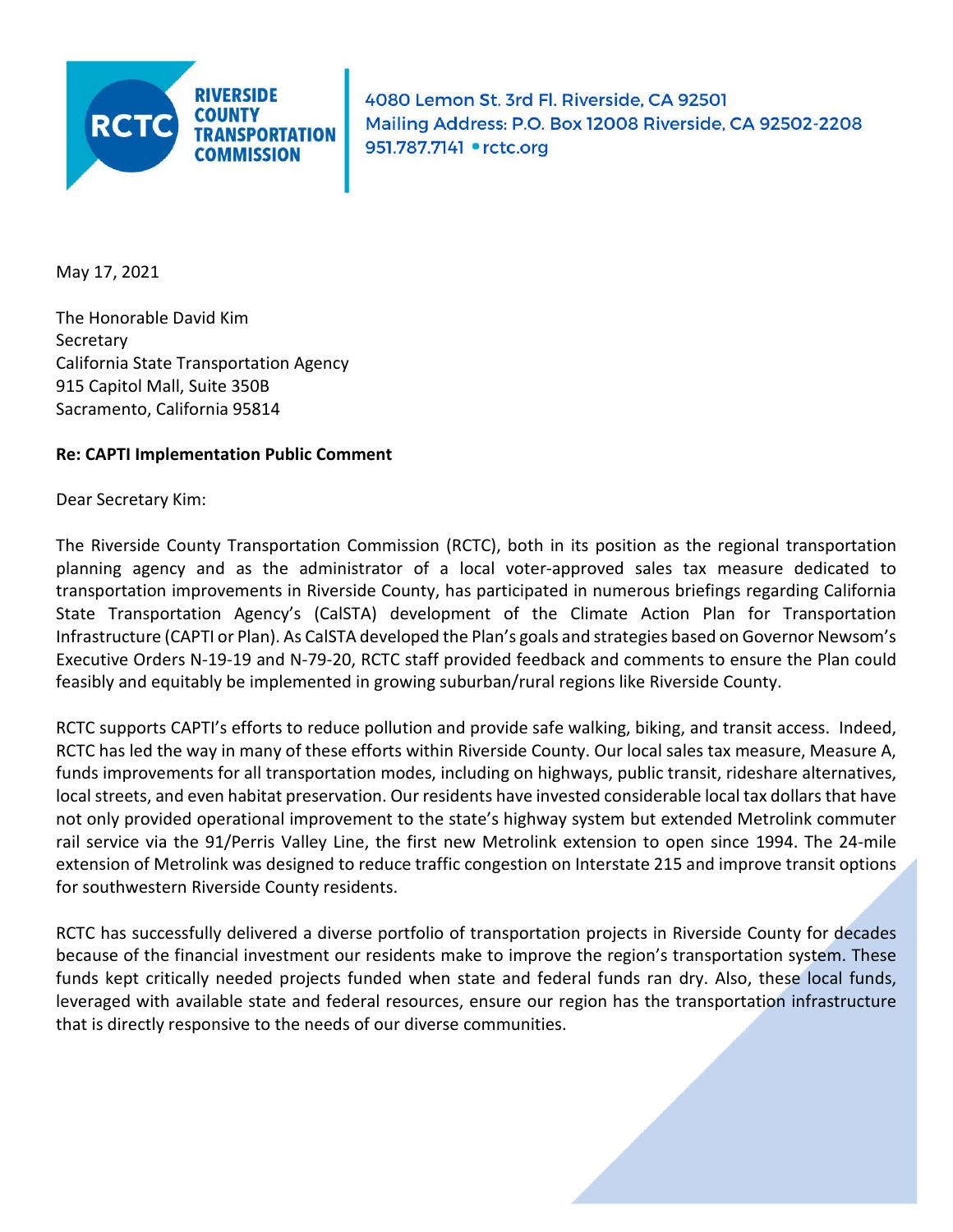

4080 Lemon St. 3rd Fl. Riverside, CA 92501 Mailing Address: P.O. Box 12008 Riverside, CA 92502-2208 951.787.7141 • rctc.org

May 17, 2021

The Honorable David Kim Secretary California State Transportation Agency 915 Capitol Mall, Suite 350B Sacramento, California 95814

## **Re: CAPTI Implementation Public Comment**

Dear Secretary Kim:

The Riverside County Transportation Commission (RCTC), both in its position as the regional transportation planning agency and as the administrator of a local voter-approved sales tax measure dedicated to transportation improvements in Riverside County, has participated in numerous briefings regarding California State Transportation Agency's (CalSTA) development of the Climate Action Plan for Transportation Infrastructure (CAPTI or Plan). As CalSTA developed the Plan's goals and strategies based on Governor Newsom's Executive Orders N-19-19 and N-79-20, RCTC staff provided feedback and comments to ensure the Plan could feasibly and equitably be implemented in growing suburban/rural regions like Riverside County.

RCTC supports CAPTI's efforts to reduce pollution and provide safe walking, biking, and transit access. Indeed, RCTC has led the way in many of these efforts within Riverside County. Our local sales tax measure, Measure A, funds improvements for all transportation modes, including on highways, public transit, rideshare alternatives, local streets, and even habitat preservation. Our residents have invested considerable local tax dollars that have not only provided operational improvement to the state's highway system but extended Metrolink commuter rail service via the 91/Perris Valley Line, the first new Metrolink extension to open since 1994. The 24-mile extension of Metrolink was designed to reduce traffic congestion on Interstate 215 and improve transit options for southwestern Riverside County residents.

RCTC has successfully delivered a diverse portfolio of transportation projects in Riverside County for decades because of the financial investment our residents make to improve the region's transportation system. These funds kept critically needed projects funded when state and federal funds ran dry. Also, these local funds, leveraged with available state and federal resources, ensure our region has the transportation infrastructure that is directly responsive to the needs of our diverse communities.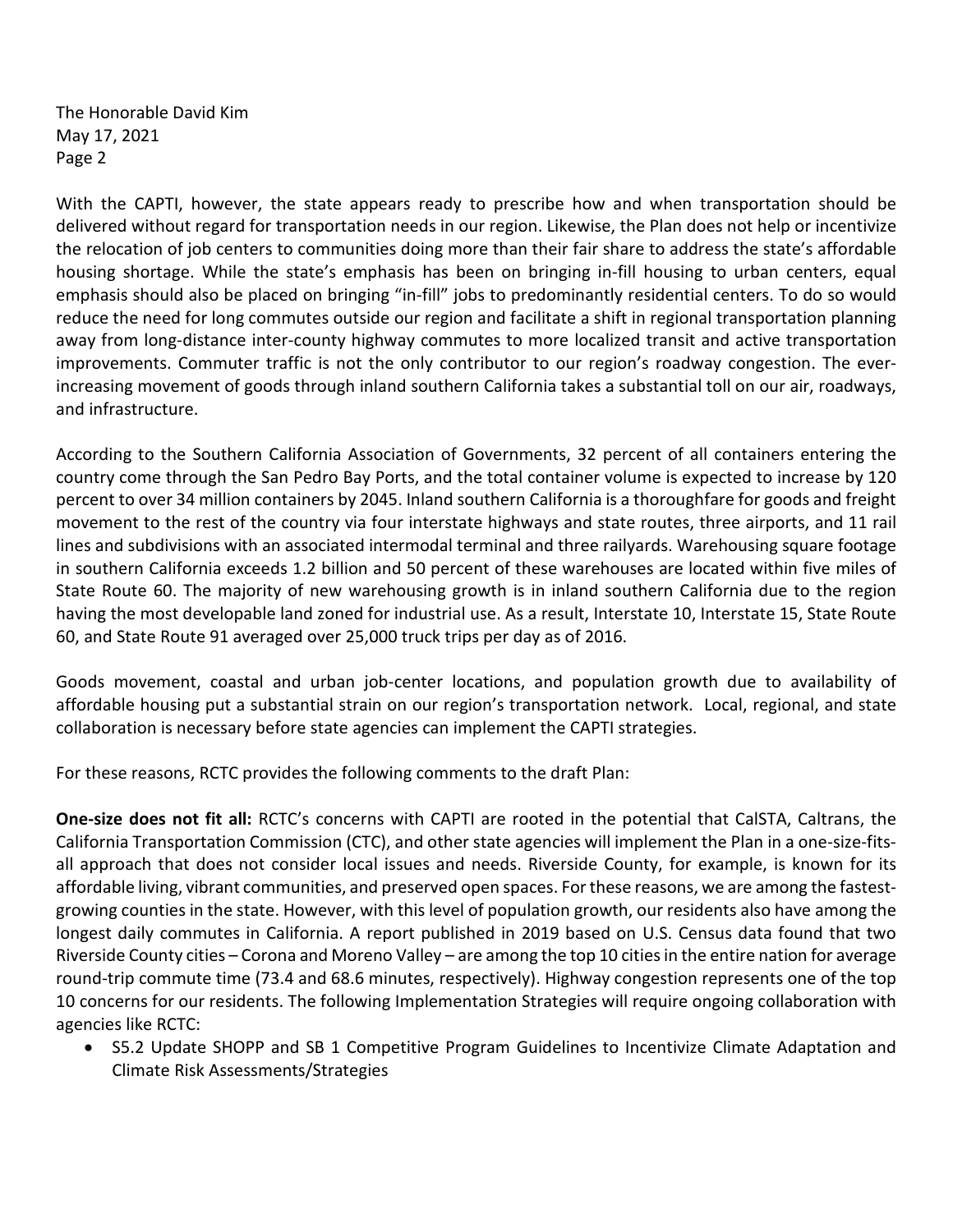The Honorable David Kim May 17, 2021 Page 2

With the CAPTI, however, the state appears ready to prescribe how and when transportation should be delivered without regard for transportation needs in our region. Likewise, the Plan does not help or incentivize the relocation of job centers to communities doing more than their fair share to address the state's affordable housing shortage. While the state's emphasis has been on bringing in-fill housing to urban centers, equal emphasis should also be placed on bringing "in-fill" jobs to predominantly residential centers. To do so would reduce the need for long commutes outside our region and facilitate a shift in regional transportation planning away from long-distance inter-county highway commutes to more localized transit and active transportation improvements. Commuter traffic is not the only contributor to our region's roadway congestion. The everincreasing movement of goods through inland southern California takes a substantial toll on our air, roadways, and infrastructure.

According to the Southern California Association of Governments, 32 percent of all containers entering the country come through the San Pedro Bay Ports, and the total container volume is expected to increase by 120 percent to over 34 million containers by 2045. Inland southern California is a thoroughfare for goods and freight movement to the rest of the country via four interstate highways and state routes, three airports, and 11 rail lines and subdivisions with an associated intermodal terminal and three railyards. Warehousing square footage in southern California exceeds 1.2 billion and 50 percent of these warehouses are located within five miles of State Route 60. The majority of new warehousing growth is in inland southern California due to the region having the most developable land zoned for industrial use. As a result, Interstate 10, Interstate 15, State Route 60, and State Route 91 averaged over 25,000 truck trips per day as of 2016.

Goods movement, coastal and urban job-center locations, and population growth due to availability of affordable housing put a substantial strain on our region's transportation network. Local, regional, and state collaboration is necessary before state agencies can implement the CAPTI strategies.

For these reasons, RCTC provides the following comments to the draft Plan:

**One-size does not fit all:** RCTC's concerns with CAPTI are rooted in the potential that CalSTA, Caltrans, the California Transportation Commission (CTC), and other state agencies will implement the Plan in a one-size-fitsall approach that does not consider local issues and needs. Riverside County, for example, is known for its affordable living, vibrant communities, and preserved open spaces. For these reasons, we are among the fastestgrowing counties in the state. However, with this level of population growth, our residents also have among the longest daily commutes in California. A report published in 2019 based on U.S. Census data found that two Riverside County cities – Corona and Moreno Valley – are among the top 10 cities in the entire nation for average round-trip commute time (73.4 and 68.6 minutes, respectively). Highway congestion represents one of the top 10 concerns for our residents. The following Implementation Strategies will require ongoing collaboration with agencies like RCTC:

• S5.2 Update SHOPP and SB 1 Competitive Program Guidelines to Incentivize Climate Adaptation and Climate Risk Assessments/Strategies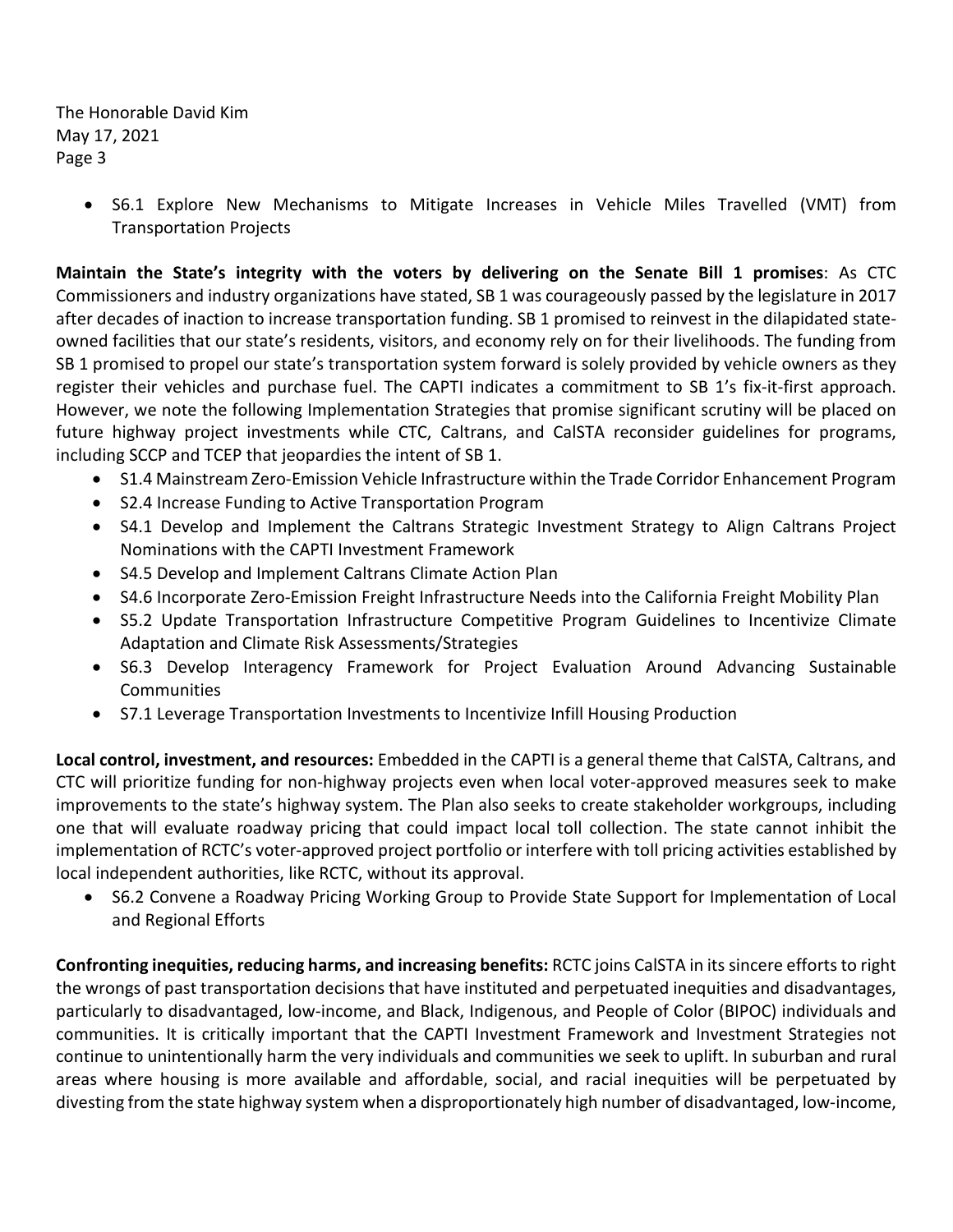The Honorable David Kim May 17, 2021 Page 3

> • S6.1 Explore New Mechanisms to Mitigate Increases in Vehicle Miles Travelled (VMT) from Transportation Projects

**Maintain the State's integrity with the voters by delivering on the Senate Bill 1 promises**: As CTC Commissioners and industry organizations have stated, SB 1 was courageously passed by the legislature in 2017 after decades of inaction to increase transportation funding. SB 1 promised to reinvest in the dilapidated stateowned facilities that our state's residents, visitors, and economy rely on for their livelihoods. The funding from SB 1 promised to propel our state's transportation system forward is solely provided by vehicle owners as they register their vehicles and purchase fuel. The CAPTI indicates a commitment to SB 1's fix-it-first approach. However, we note the following Implementation Strategies that promise significant scrutiny will be placed on future highway project investments while CTC, Caltrans, and CalSTA reconsider guidelines for programs, including SCCP and TCEP that jeopardies the intent of SB 1.

- S1.4 Mainstream Zero-Emission Vehicle Infrastructure within the Trade Corridor Enhancement Program
- S2.4 Increase Funding to Active Transportation Program
- S4.1 Develop and Implement the Caltrans Strategic Investment Strategy to Align Caltrans Project Nominations with the CAPTI Investment Framework
- S4.5 Develop and Implement Caltrans Climate Action Plan
- S4.6 Incorporate Zero-Emission Freight Infrastructure Needs into the California Freight Mobility Plan
- S5.2 Update Transportation Infrastructure Competitive Program Guidelines to Incentivize Climate Adaptation and Climate Risk Assessments/Strategies
- S6.3 Develop Interagency Framework for Project Evaluation Around Advancing Sustainable Communities
- S7.1 Leverage Transportation Investments to Incentivize Infill Housing Production

**Local control, investment, and resources:** Embedded in the CAPTI is a general theme that CalSTA, Caltrans, and CTC will prioritize funding for non-highway projects even when local voter-approved measures seek to make improvements to the state's highway system. The Plan also seeks to create stakeholder workgroups, including one that will evaluate roadway pricing that could impact local toll collection. The state cannot inhibit the implementation of RCTC's voter-approved project portfolio or interfere with toll pricing activities established by local independent authorities, like RCTC, without its approval.

• S6.2 Convene a Roadway Pricing Working Group to Provide State Support for Implementation of Local and Regional Efforts

**Confronting inequities, reducing harms, and increasing benefits:** RCTC joins CalSTA in its sincere efforts to right the wrongs of past transportation decisions that have instituted and perpetuated inequities and disadvantages, particularly to disadvantaged, low-income, and Black, Indigenous, and People of Color (BIPOC) individuals and communities. It is critically important that the CAPTI Investment Framework and Investment Strategies not continue to unintentionally harm the very individuals and communities we seek to uplift. In suburban and rural areas where housing is more available and affordable, social, and racial inequities will be perpetuated by divesting from the state highway system when a disproportionately high number of disadvantaged, low-income,